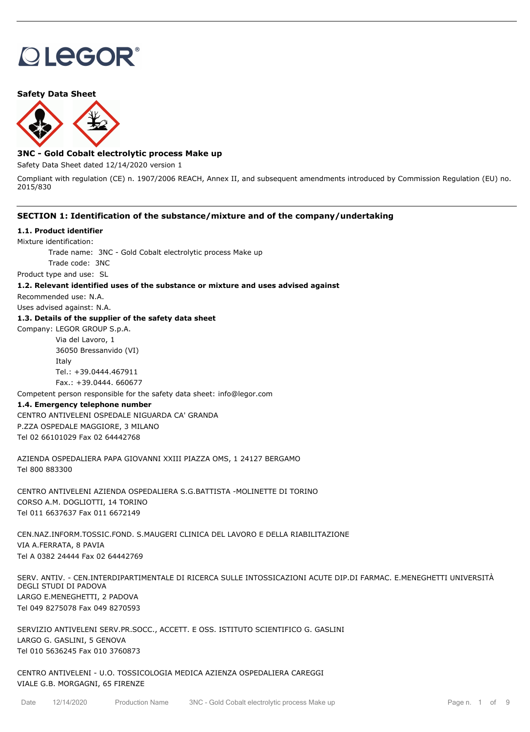# **OLEGOR®**

## **Safety Data Sheet**



# **3NC - Gold Cobalt electrolytic process Make up**

Safety Data Sheet dated 12/14/2020 version 1

Compliant with regulation (CE) n. 1907/2006 REACH, Annex II, and subsequent amendments introduced by Commission Regulation (EU) no. 2015/830

## **SECTION 1: Identification of the substance/mixture and of the company/undertaking**

## **1.1. Product identifier**

Mixture identification:

Trade name: 3NC - Gold Cobalt electrolytic process Make up

Trade code: 3NC

Product type and use: SL

## **1.2. Relevant identified uses of the substance or mixture and uses advised against**

Recommended use: N.A.

Uses advised against: N.A.

## **1.3. Details of the supplier of the safety data sheet**

Company: LEGOR GROUP S.p.A.

Via del Lavoro, 1 36050 Bressanvido (VI) Italy Tel.: +39.0444.467911 Fax.: +39.0444. 660677

Competent person responsible for the safety data sheet: info@legor.com

## **1.4. Emergency telephone number**

CENTRO ANTIVELENI OSPEDALE NIGUARDA CA' GRANDA P.ZZA OSPEDALE MAGGIORE, 3 MILANO Tel 02 66101029 Fax 02 64442768

AZIENDA OSPEDALIERA PAPA GIOVANNI XXIII PIAZZA OMS, 1 24127 BERGAMO Tel 800 883300

CENTRO ANTIVELENI AZIENDA OSPEDALIERA S.G.BATTISTA -MOLINETTE DI TORINO CORSO A.M. DOGLIOTTI, 14 TORINO Tel 011 6637637 Fax 011 6672149

CEN.NAZ.INFORM.TOSSIC.FOND. S.MAUGERI CLINICA DEL LAVORO E DELLA RIABILITAZIONE VIA A.FERRATA, 8 PAVIA Tel A 0382 24444 Fax 02 64442769

SERV. ANTIV. - CEN.INTERDIPARTIMENTALE DI RICERCA SULLE INTOSSICAZIONI ACUTE DIP.DI FARMAC. E.MENEGHETTI UNIVERSITÀ DEGLI STUDI DI PADOVA LARGO E.MENEGHETTI, 2 PADOVA Tel 049 8275078 Fax 049 8270593

SERVIZIO ANTIVELENI SERV.PR.SOCC., ACCETT. E OSS. ISTITUTO SCIENTIFICO G. GASLINI LARGO G. GASLINI, 5 GENOVA Tel 010 5636245 Fax 010 3760873

CENTRO ANTIVELENI - U.O. TOSSICOLOGIA MEDICA AZIENZA OSPEDALIERA CAREGGI VIALE G.B. MORGAGNI, 65 FIRENZE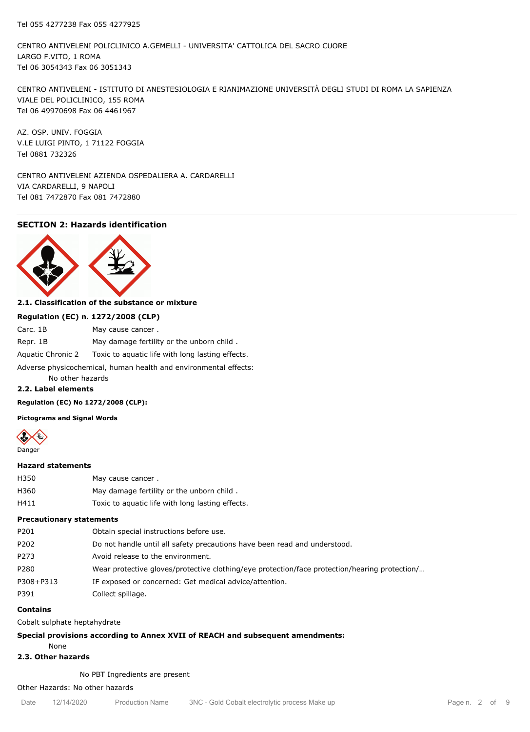CENTRO ANTIVELENI POLICLINICO A.GEMELLI - UNIVERSITA' CATTOLICA DEL SACRO CUORE LARGO F.VITO, 1 ROMA Tel 06 3054343 Fax 06 3051343

CENTRO ANTIVELENI - ISTITUTO DI ANESTESIOLOGIA E RIANIMAZIONE UNIVERSITÀ DEGLI STUDI DI ROMA LA SAPIENZA VIALE DEL POLICLINICO, 155 ROMA Tel 06 49970698 Fax 06 4461967

AZ. OSP. UNIV. FOGGIA V.LE LUIGI PINTO, 1 71122 FOGGIA Tel 0881 732326

CENTRO ANTIVELENI AZIENDA OSPEDALIERA A. CARDARELLI VIA CARDARELLI, 9 NAPOLI Tel 081 7472870 Fax 081 7472880

# **SECTION 2: Hazards identification**



# **2.1. Classification of the substance or mixture**

| Regulation (EC) n. 1272/2008 (CLP) |                                                  |  |  |  |
|------------------------------------|--------------------------------------------------|--|--|--|
| Carc. 1B                           | May cause cancer.                                |  |  |  |
| Repr. 1B                           | May damage fertility or the unborn child.        |  |  |  |
| Aquatic Chronic 2                  | Toxic to aquatic life with long lasting effects. |  |  |  |

Adverse physicochemical, human health and environmental effects:

# No other hazards

# **2.2. Label elements**

**Regulation (EC) No 1272/2008 (CLP):**

**Pictograms and Signal Words**



## **Hazard statements**

| H350 | May cause cancer.                                |
|------|--------------------------------------------------|
| H360 | May damage fertility or the unborn child.        |
| H411 | Toxic to aquatic life with long lasting effects. |

## **Precautionary statements**

| P201      | Obtain special instructions before use.                                                       |
|-----------|-----------------------------------------------------------------------------------------------|
| P202      | Do not handle until all safety precautions have been read and understood.                     |
| P273      | Avoid release to the environment.                                                             |
| P280      | Wear protective gloves/protective clothing/eye protection/face protection/hearing protection/ |
| P308+P313 | IF exposed or concerned: Get medical advice/attention.                                        |
| P391      | Collect spillage.                                                                             |
|           |                                                                                               |

## **Contains**

Cobalt sulphate heptahydrate

## **Special provisions according to Annex XVII of REACH and subsequent amendments:**

None

# **2.3. Other hazards**

No PBT Ingredients are present

# Other Hazards: No other hazards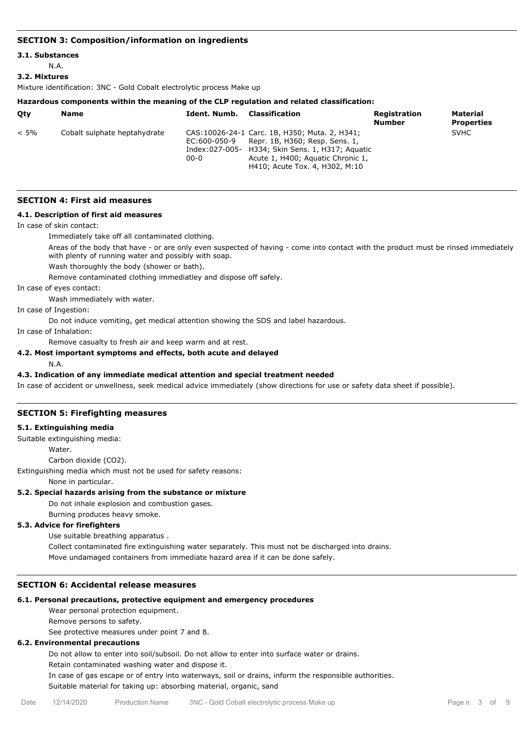## **SECTION 3: Composition/information on ingredients**

## **3.1. Substances**

N.A.

#### **3.2. Mixtures**

Mixture identification: 3NC - Gold Cobalt electrolytic process Make up

#### **Hazardous components within the meaning of the CLP regulation and related classification:**

| Otv     | <b>Name</b>                  | Ident. Numb.             | Classification                                                                                                                                                                                              | Registration<br><b>Number</b> | Material<br><b>Properties</b> |
|---------|------------------------------|--------------------------|-------------------------------------------------------------------------------------------------------------------------------------------------------------------------------------------------------------|-------------------------------|-------------------------------|
| $< 5\%$ | Cobalt sulphate heptahydrate | EC:600-050-9<br>$00 - 0$ | CAS: 10026-24-1 Carc. 1B, H350; Muta. 2, H341;<br>Repr. 1B, H360; Resp. Sens. 1,<br>Index:027-005- H334; Skin Sens. 1, H317; Aquatic<br>Acute 1, H400; Aguatic Chronic 1,<br>H410; Acute Tox. 4, H302, M:10 |                               | <b>SVHC</b>                   |

#### **SECTION 4: First aid measures**

## **4.1. Description of first aid measures**

In case of skin contact:

Immediately take off all contaminated clothing.

Areas of the body that have - or are only even suspected of having - come into contact with the product must be rinsed immediately with plenty of running water and possibly with soap.

Wash thoroughly the body (shower or bath).

Remove contaminated clothing immediatley and dispose off safely.

In case of eyes contact:

Wash immediately with water.

In case of Ingestion:

Do not induce vomiting, get medical attention showing the SDS and label hazardous.

In case of Inhalation:

Remove casualty to fresh air and keep warm and at rest.

## **4.2. Most important symptoms and effects, both acute and delayed**

N.A.

## **4.3. Indication of any immediate medical attention and special treatment needed**

In case of accident or unwellness, seek medical advice immediately (show directions for use or safety data sheet if possible).

## **SECTION 5: Firefighting measures**

## **5.1. Extinguishing media**

Suitable extinguishing media:

Water

Carbon dioxide (CO2).

Extinguishing media which must not be used for safety reasons:

None in particular.

## **5.2. Special hazards arising from the substance or mixture**

Do not inhale explosion and combustion gases.

Burning produces heavy smoke.

## **5.3. Advice for firefighters**

Use suitable breathing apparatus .

Collect contaminated fire extinguishing water separately. This must not be discharged into drains. Move undamaged containers from immediate hazard area if it can be done safely.

## **SECTION 6: Accidental release measures**

## **6.1. Personal precautions, protective equipment and emergency procedures**

Wear personal protection equipment.

Remove persons to safety.

See protective measures under point 7 and 8.

# **6.2. Environmental precautions**

Do not allow to enter into soil/subsoil. Do not allow to enter into surface water or drains.

Retain contaminated washing water and dispose it.

In case of gas escape or of entry into waterways, soil or drains, inform the responsible authorities. Suitable material for taking up: absorbing material, organic, sand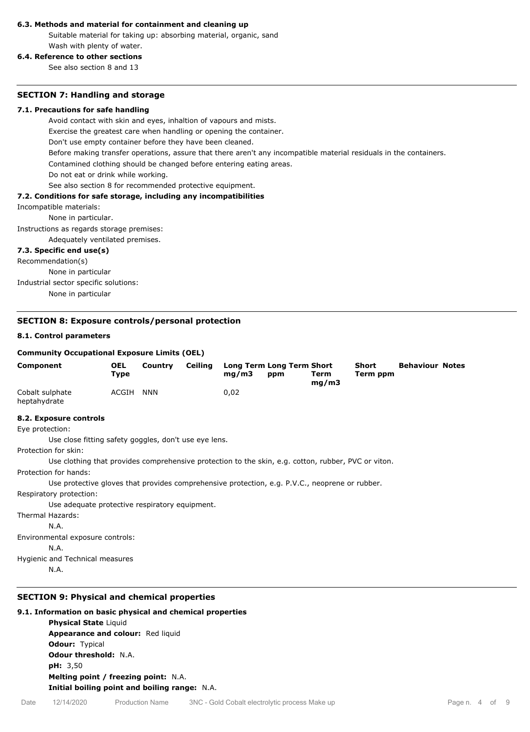## **6.3. Methods and material for containment and cleaning up**

Suitable material for taking up: absorbing material, organic, sand Wash with plenty of water.

# **6.4. Reference to other sections**

See also section 8 and 13

## **SECTION 7: Handling and storage**

## **7.1. Precautions for safe handling**

Avoid contact with skin and eyes, inhaltion of vapours and mists.

Exercise the greatest care when handling or opening the container.

Don't use empty container before they have been cleaned.

Before making transfer operations, assure that there aren't any incompatible material residuals in the containers.

Contamined clothing should be changed before entering eating areas.

Do not eat or drink while working.

See also section 8 for recommended protective equipment.

## **7.2. Conditions for safe storage, including any incompatibilities**

#### Incompatible materials:

None in particular.

Instructions as regards storage premises:

Adequately ventilated premises.

## **7.3. Specific end use(s)**

Recommendation(s) None in particular

Industrial sector specific solutions: None in particular

## **SECTION 8: Exposure controls/personal protection**

## **8.1. Control parameters**

## **Community Occupational Exposure Limits (OEL)**

| <b>Component</b>                | <b>OEL</b><br>Type | Country    | Ceiling | ma/m3 | Long Term Long Term Short<br>ppm | Term<br>mq/m3 | <b>Short</b><br>Term ppm | <b>Behaviour Notes</b> |  |
|---------------------------------|--------------------|------------|---------|-------|----------------------------------|---------------|--------------------------|------------------------|--|
| Cobalt sulphate<br>heptahydrate | ACGIH              | <b>NNN</b> |         | 0.02  |                                  |               |                          |                        |  |

## **8.2. Exposure controls**

Eye protection:

Use close fitting safety goggles, don't use eye lens.

Protection for skin:

Use clothing that provides comprehensive protection to the skin, e.g. cotton, rubber, PVC or viton.

Protection for hands:

Use protective gloves that provides comprehensive protection, e.g. P.V.C., neoprene or rubber.

Respiratory protection:

Use adequate protective respiratory equipment.

Thermal Hazards:

N.A.

Environmental exposure controls:

N.A.

Hygienic and Technical measures

N.A.

# **SECTION 9: Physical and chemical properties**

# **9.1. Information on basic physical and chemical properties**

**Physical State** Liquid **Appearance and colour:** Red liquid **Odour:** Typical **Odour threshold:** N.A. **pH:** 3,50 **Melting point / freezing point:** N.A. **Initial boiling point and boiling range:** N.A.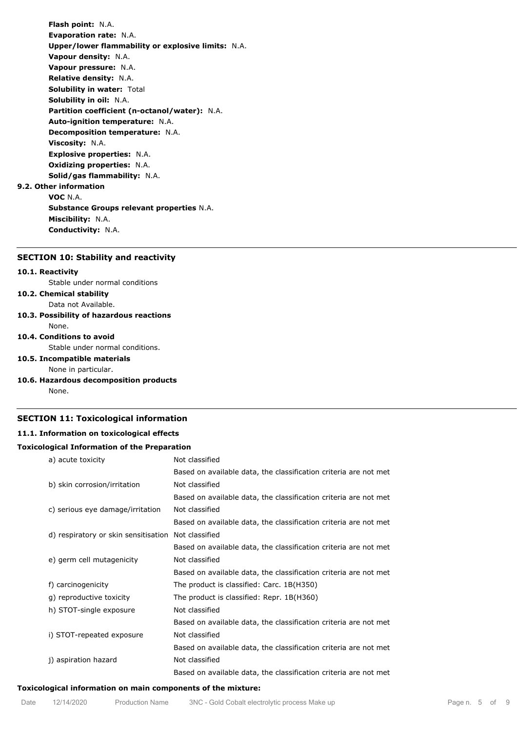**Flash point:** N.A. **Evaporation rate:** N.A. **Upper/lower flammability or explosive limits:** N.A. **Vapour density:** N.A. **Vapour pressure:** N.A. **Relative density:** N.A. **Solubility in water:** Total **Solubility in oil:** N.A. **Partition coefficient (n-octanol/water):** N.A. **Auto-ignition temperature:** N.A. **Decomposition temperature:** N.A. **Viscosity:** N.A. **Explosive properties:** N.A. **Oxidizing properties:** N.A. **Solid/gas flammability:** N.A. **9.2. Other information VOC** N.A. **Substance Groups relevant properties** N.A. **Miscibility:** N.A. **Conductivity:** N.A.

# **SECTION 10: Stability and reactivity**

# **10.1. Reactivity**

Stable under normal conditions

# **10.2. Chemical stability**

Data not Available.

# **10.3. Possibility of hazardous reactions**

None.

# **10.4. Conditions to avoid**

Stable under normal conditions.

## **10.5. Incompatible materials**

None in particular.

## **10.6. Hazardous decomposition products**

None.

# **SECTION 11: Toxicological information**

## **11.1. Information on toxicological effects**

## **Toxicological Information of the Preparation**

| a) acute toxicity                    | Not classified                                                   |
|--------------------------------------|------------------------------------------------------------------|
|                                      | Based on available data, the classification criteria are not met |
| b) skin corrosion/irritation         | Not classified                                                   |
|                                      | Based on available data, the classification criteria are not met |
| c) serious eye damage/irritation     | Not classified                                                   |
|                                      | Based on available data, the classification criteria are not met |
| d) respiratory or skin sensitisation | Not classified                                                   |
|                                      | Based on available data, the classification criteria are not met |
| e) germ cell mutagenicity            | Not classified                                                   |
|                                      | Based on available data, the classification criteria are not met |
| f) carcinogenicity                   | The product is classified: Carc. 1B(H350)                        |
| g) reproductive toxicity             | The product is classified: Repr. 1B(H360)                        |
| h) STOT-single exposure              | Not classified                                                   |
|                                      | Based on available data, the classification criteria are not met |
| i) STOT-repeated exposure            | Not classified                                                   |
|                                      | Based on available data, the classification criteria are not met |
| j) aspiration hazard                 | Not classified                                                   |
|                                      | Based on available data, the classification criteria are not met |
|                                      |                                                                  |

## **Toxicological information on main components of the mixture:**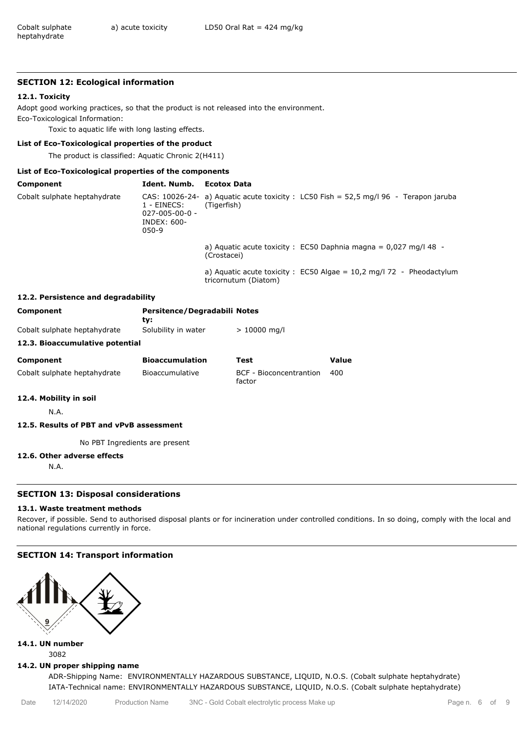## **SECTION 12: Ecological information**

## **12.1. Toxicity**

Adopt good working practices, so that the product is not released into the environment. Eco-Toxicological Information:

Toxic to aquatic life with long lasting effects.

# **List of Eco-Toxicological properties of the product**

The product is classified: Aquatic Chronic 2(H411)

# **List of Eco-Toxicological properties of the components**

| Component                    | Ident. Numb.                                                      | Ecotox Data |                                                                                      |
|------------------------------|-------------------------------------------------------------------|-------------|--------------------------------------------------------------------------------------|
| Cobalt sulphate heptahydrate | 1 - EINECS: I<br>$027 - 005 - 00 - 0 -$<br>INDEX: 600-<br>$050-9$ | (Tigerfish) | CAS: 10026-24- a) Aguatic acute toxicity : LC50 Fish = 52.5 mg/l 96 - Terapon jaruba |
|                              |                                                                   | (Crostacei) | a) Aquatic acute toxicity : EC50 Daphnia magna = $0.027$ mg/l 48 -                   |

a) Aquatic acute toxicity :  $EC50$  Algae = 10,2 mg/l 72 - Pheodactylum tricornutum (Diatom)

## **12.2. Persistence and degradability**

| <b>Component</b>                | Persitence/Degradabili Notes<br>tv: |                |       |
|---------------------------------|-------------------------------------|----------------|-------|
| Cobalt sulphate heptahydrate    | Solubility in water                 | $> 10000$ mg/l |       |
| 12.3. Bioaccumulative potential |                                     |                |       |
| Component                       | <b>Bioaccumulation</b>              | Test           | Value |

| Component                    | <b>Bioaccumulation</b> | l est                             | valud |
|------------------------------|------------------------|-----------------------------------|-------|
| Cobalt sulphate heptahydrate | Bioaccumulative        | BCF - Bioconcentrantion<br>factor | 400   |

# **12.4. Mobility in soil**

N.A.

# **12.5. Results of PBT and vPvB assessment**

No PBT Ingredients are present

## **12.6. Other adverse effects**

N.A.

## **SECTION 13: Disposal considerations**

## **13.1. Waste treatment methods**

Recover, if possible. Send to authorised disposal plants or for incineration under controlled conditions. In so doing, comply with the local and national regulations currently in force.

# **SECTION 14: Transport information**



**14.1. UN number** 3082

## **14.2. UN proper shipping name**

ADR-Shipping Name: ENVIRONMENTALLY HAZARDOUS SUBSTANCE, LIQUID, N.O.S. (Cobalt sulphate heptahydrate) IATA-Technical name: ENVIRONMENTALLY HAZARDOUS SUBSTANCE, LIQUID, N.O.S. (Cobalt sulphate heptahydrate)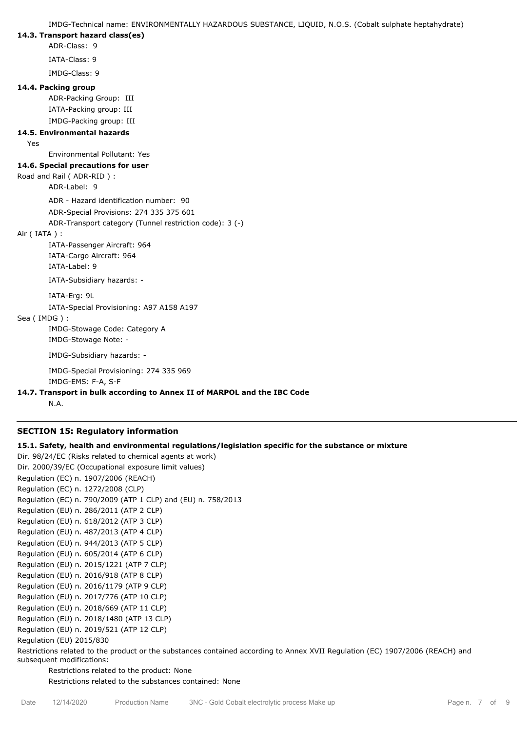IMDG-Technical name: ENVIRONMENTALLY HAZARDOUS SUBSTANCE, LIQUID, N.O.S. (Cobalt sulphate heptahydrate)

## **14.3. Transport hazard class(es)**

ADR-Class: 9

IATA-Class: 9

IMDG-Class: 9

## **14.4. Packing group**

ADR-Packing Group: III IATA-Packing group: III IMDG-Packing group: III

# **14.5. Environmental hazards**

Yes

Environmental Pollutant: Yes

# **14.6. Special precautions for user**

# Road and Rail ( ADR-RID ) :

ADR-Label: 9

ADR - Hazard identification number: 90

ADR-Special Provisions: 274 335 375 601

ADR-Transport category (Tunnel restriction code): 3 (-)

## Air ( IATA ) :

IATA-Passenger Aircraft: 964 IATA-Cargo Aircraft: 964 IATA-Label: 9

IATA-Subsidiary hazards: -

IATA-Erg: 9L

IATA-Special Provisioning: A97 A158 A197

## Sea ( IMDG ) :

IMDG-Stowage Code: Category A

IMDG-Stowage Note: -

IMDG-Subsidiary hazards: -

IMDG-Special Provisioning: 274 335 969

IMDG-EMS: F-A, S-F

## **14.7. Transport in bulk according to Annex II of MARPOL and the IBC Code**

N.A.

# **SECTION 15: Regulatory information**

# **15.1. Safety, health and environmental regulations/legislation specific for the substance or mixture**

Dir. 98/24/EC (Risks related to chemical agents at work) Dir. 2000/39/EC (Occupational exposure limit values) Regulation (EC) n. 1907/2006 (REACH) Regulation (EC) n. 1272/2008 (CLP) Regulation (EC) n. 790/2009 (ATP 1 CLP) and (EU) n. 758/2013 Regulation (EU) n. 286/2011 (ATP 2 CLP) Regulation (EU) n. 618/2012 (ATP 3 CLP) Regulation (EU) n. 487/2013 (ATP 4 CLP) Regulation (EU) n. 944/2013 (ATP 5 CLP) Regulation (EU) n. 605/2014 (ATP 6 CLP) Regulation (EU) n. 2015/1221 (ATP 7 CLP) Regulation (EU) n. 2016/918 (ATP 8 CLP) Regulation (EU) n. 2016/1179 (ATP 9 CLP) Regulation (EU) n. 2017/776 (ATP 10 CLP) Regulation (EU) n. 2018/669 (ATP 11 CLP) Regulation (EU) n. 2018/1480 (ATP 13 CLP) Regulation (EU) n. 2019/521 (ATP 12 CLP) Regulation (EU) 2015/830

Restrictions related to the product or the substances contained according to Annex XVII Regulation (EC) 1907/2006 (REACH) and subsequent modifications:

Restrictions related to the product: None Restrictions related to the substances contained: None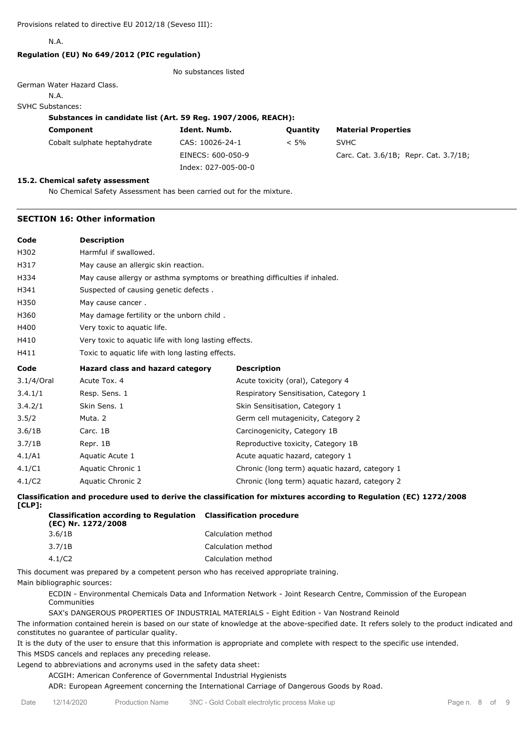N.A.

## **Regulation (EU) No 649/2012 (PIC regulation)**

No substances listed

## German Water Hazard Class.

N.A.

#### SVHC Substances:

## **Substances in candidate list (Art. 59 Reg. 1907/2006, REACH):**

| Component                    | Ident. Numb.        | Quantity | <b>Material Properties</b>            |
|------------------------------|---------------------|----------|---------------------------------------|
| Cobalt sulphate heptahydrate | CAS: 10026-24-1     | $< 5\%$  | <b>SVHC</b>                           |
|                              | EINECS: 600-050-9   |          | Carc. Cat. 3.6/1B; Repr. Cat. 3.7/1B; |
|                              | Index: 027-005-00-0 |          |                                       |

#### **15.2. Chemical safety assessment**

No Chemical Safety Assessment has been carried out for the mixture.

## **SECTION 16: Other information**

| <b>Description</b>                                                         |                                                |  |  |  |
|----------------------------------------------------------------------------|------------------------------------------------|--|--|--|
| Harmful if swallowed.                                                      |                                                |  |  |  |
| May cause an allergic skin reaction.                                       |                                                |  |  |  |
| May cause allergy or asthma symptoms or breathing difficulties if inhaled. |                                                |  |  |  |
| Suspected of causing genetic defects.                                      |                                                |  |  |  |
| May cause cancer.                                                          |                                                |  |  |  |
| May damage fertility or the unborn child.                                  |                                                |  |  |  |
| Very toxic to aquatic life.                                                |                                                |  |  |  |
| Very toxic to aquatic life with long lasting effects.                      |                                                |  |  |  |
| Toxic to aquatic life with long lasting effects.                           |                                                |  |  |  |
| Hazard class and hazard category                                           | <b>Description</b>                             |  |  |  |
| Acute Tox, 4                                                               | Acute toxicity (oral), Category 4              |  |  |  |
| Resp. Sens. 1                                                              | Respiratory Sensitisation, Category 1          |  |  |  |
| Skin Sens. 1                                                               | Skin Sensitisation, Category 1                 |  |  |  |
| Muta, 2                                                                    | Germ cell mutagenicity, Category 2             |  |  |  |
| Carc. 1B                                                                   | Carcinogenicity, Category 1B                   |  |  |  |
| Repr. 1B                                                                   | Reproductive toxicity, Category 1B             |  |  |  |
| Aquatic Acute 1                                                            | Acute aquatic hazard, category 1               |  |  |  |
| Aquatic Chronic 1                                                          | Chronic (long term) aquatic hazard, category 1 |  |  |  |
|                                                                            |                                                |  |  |  |
|                                                                            |                                                |  |  |  |

**Classification and procedure used to derive the classification for mixtures according to Regulation (EC) 1272/2008 [CLP]:**

| <b>Classification according to Regulation Classification procedure</b><br>(EC) Nr. 1272/2008 |                    |
|----------------------------------------------------------------------------------------------|--------------------|
| 3.6/1B                                                                                       | Calculation method |
| 3.7/1B                                                                                       | Calculation method |
| 4.1/C2                                                                                       | Calculation method |
|                                                                                              |                    |

This document was prepared by a competent person who has received appropriate training.

Main bibliographic sources:

ECDIN - Environmental Chemicals Data and Information Network - Joint Research Centre, Commission of the European Communities

SAX's DANGEROUS PROPERTIES OF INDUSTRIAL MATERIALS - Eight Edition - Van Nostrand Reinold

The information contained herein is based on our state of knowledge at the above-specified date. It refers solely to the product indicated and constitutes no guarantee of particular quality.

It is the duty of the user to ensure that this information is appropriate and complete with respect to the specific use intended. This MSDS cancels and replaces any preceding release.

Legend to abbreviations and acronyms used in the safety data sheet:

ACGIH: American Conference of Governmental Industrial Hygienists

ADR: European Agreement concerning the International Carriage of Dangerous Goods by Road.